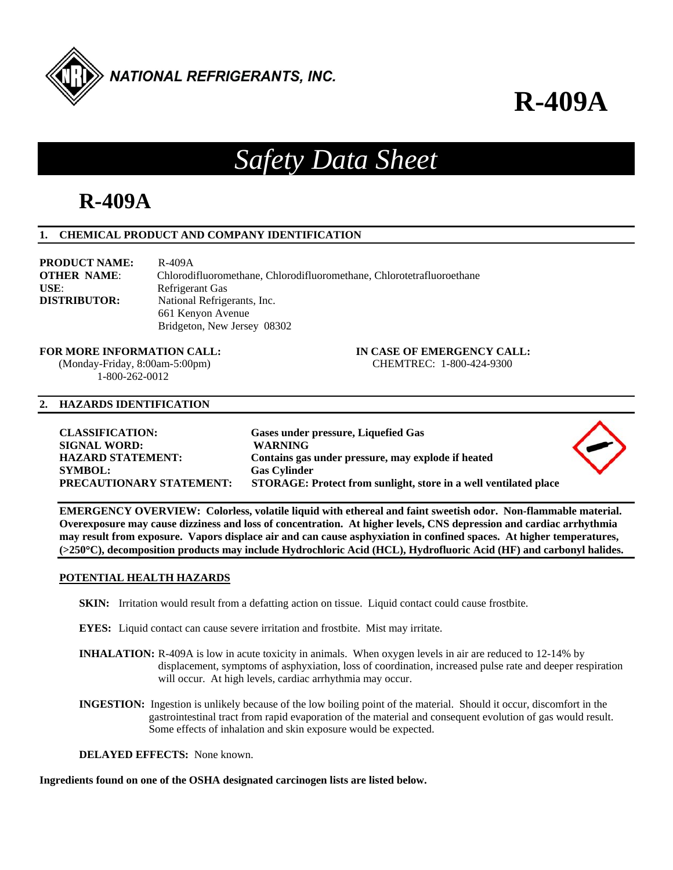

# **R-409A**

# *Safety Data Sheet*

# **R-409A**

# **1. CHEMICAL PRODUCT AND COMPANY IDENTIFICATION**

| <b>PRODUCT NAME:</b> | $R-409A$                                                              |
|----------------------|-----------------------------------------------------------------------|
| <b>OTHER NAME:</b>   | Chlorodifluoromethane, Chlorodifluoromethane, Chlorotetrafluoroethane |
| USE:                 | Refrigerant Gas                                                       |
| <b>DISTRIBUTOR:</b>  | National Refrigerants, Inc.                                           |
|                      | 661 Kenyon Avenue                                                     |
|                      | Bridgeton, New Jersey 08302                                           |

# **FOR MORE INFORMATION CALL: IN CASE OF EMERGENCY CALL:**  (Monday-Friday, 8:00am-5:00pm) CHEMTREC: 1-800-424-9300

1-800-262-0012

# **2. HAZARDS IDENTIFICATION**

| <b>CLASSIFICATION:</b>          | Gases under pressure, Liquefied Gas                              |
|---------------------------------|------------------------------------------------------------------|
| <b>SIGNAL WORD:</b>             | <b>WARNING</b>                                                   |
| <b>HAZARD STATEMENT:</b>        | Contains gas under pressure, may explode if heated               |
| <b>SYMBOL:</b>                  | <b>Gas Cylinder</b>                                              |
| <b>PRECAUTIONARY STATEMENT:</b> | STORAGE: Protect from sunlight, store in a well ventilated place |

**EMERGENCY OVERVIEW: Colorless, volatile liquid with ethereal and faint sweetish odor. Non-flammable material. Overexposure may cause dizziness and loss of concentration. At higher levels, CNS depression and cardiac arrhythmia may result from exposure. Vapors displace air and can cause asphyxiation in confined spaces. At higher temperatures, (>250C), decomposition products may include Hydrochloric Acid (HCL), Hydrofluoric Acid (HF) and carbonyl halides.** 

# **POTENTIAL HEALTH HAZARDS**

- **SKIN:** Irritation would result from a defatting action on tissue. Liquid contact could cause frostbite.
- **EYES:** Liquid contact can cause severe irritation and frostbite. Mist may irritate.
- **INHALATION:** R-409A is low in acute toxicity in animals. When oxygen levels in air are reduced to 12-14% by displacement, symptoms of asphyxiation, loss of coordination, increased pulse rate and deeper respiration will occur. At high levels, cardiac arrhythmia may occur.
- **INGESTION:** Ingestion is unlikely because of the low boiling point of the material. Should it occur, discomfort in the gastrointestinal tract from rapid evaporation of the material and consequent evolution of gas would result. Some effects of inhalation and skin exposure would be expected.

**DELAYED EFFECTS:** None known.

**Ingredients found on one of the OSHA designated carcinogen lists are listed below.**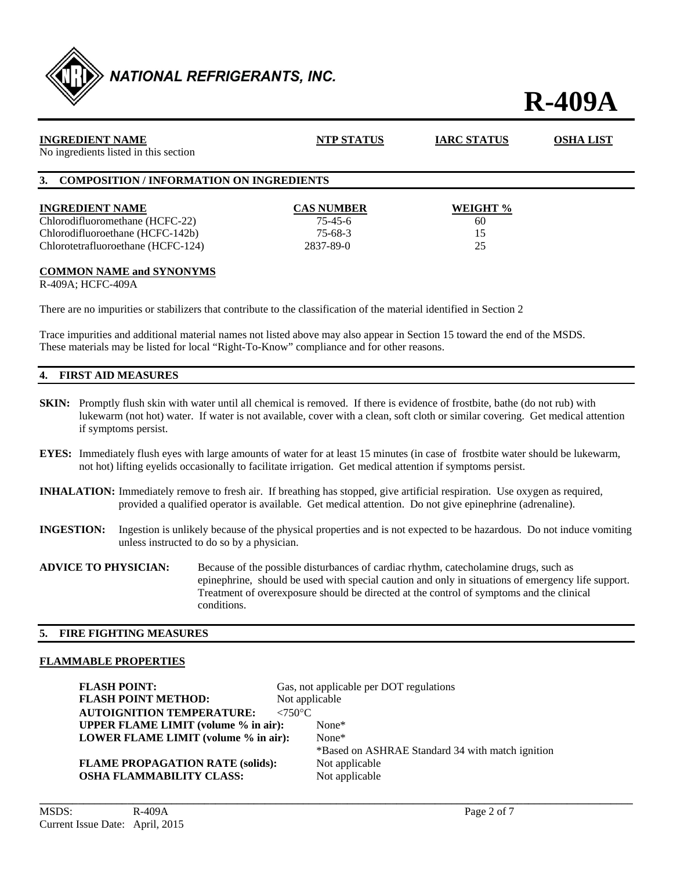

# **R-409A**

| <b>INGREDIENT NAME</b><br>No ingredients listed in this section | <b>NTP STATUS</b> | <b>IARC STATUS</b> | <b>OSHA LIST</b> |
|-----------------------------------------------------------------|-------------------|--------------------|------------------|
| 3. COMPOSITION / INFORMATION ON INGREDIENTS                     |                   |                    |                  |
| <b>INGREDIENT NAME</b>                                          | <b>CAS NUMBER</b> | WEIGHT %           |                  |
| Chlorodifluoromethane (HCFC-22)                                 | $75 - 45 - 6$     | 60                 |                  |
| Chlorodifluoroethane (HCFC-142b)                                | 75-68-3           | 15                 |                  |
| Chlorotetrafluoroethane (HCFC-124)                              | 2837-89-0         | 25                 |                  |
| <b>COMMON NAME and SYNONYMS</b>                                 |                   |                    |                  |

R-409A; HCFC-409A

There are no impurities or stabilizers that contribute to the classification of the material identified in Section 2

Trace impurities and additional material names not listed above may also appear in Section 15 toward the end of the MSDS. These materials may be listed for local "Right-To-Know" compliance and for other reasons.

# **4. FIRST AID MEASURES**

- **SKIN:** Promptly flush skin with water until all chemical is removed. If there is evidence of frostbite, bathe (do not rub) with lukewarm (not hot) water. If water is not available, cover with a clean, soft cloth or similar covering. Get medical attention if symptoms persist.
- **EYES:** Immediately flush eyes with large amounts of water for at least 15 minutes (in case of frostbite water should be lukewarm, not hot) lifting eyelids occasionally to facilitate irrigation. Get medical attention if symptoms persist.
- **INHALATION:** Immediately remove to fresh air. If breathing has stopped, give artificial respiration. Use oxygen as required, provided a qualified operator is available. Get medical attention. Do not give epinephrine (adrenaline).
- **INGESTION:** Ingestion is unlikely because of the physical properties and is not expected to be hazardous. Do not induce vomiting unless instructed to do so by a physician.
- **ADVICE TO PHYSICIAN:** Because of the possible disturbances of cardiac rhythm, catecholamine drugs, such as epinephrine, should be used with special caution and only in situations of emergency life support. Treatment of overexposure should be directed at the control of symptoms and the clinical conditions.

# **5. FIRE FIGHTING MEASURES**

#### **FLAMMABLE PROPERTIES**

| <b>FLASH POINT:</b>                         |                                      | Gas, not applicable per DOT regulations          |
|---------------------------------------------|--------------------------------------|--------------------------------------------------|
| <b>FLASH POINT METHOD:</b>                  | Not applicable                       |                                                  |
| <b>AUTOIGNITION TEMPERATURE:</b>            | $\langle 750^\circ \text{C} \rangle$ |                                                  |
| <b>UPPER FLAME LIMIT (volume % in air):</b> |                                      | $None*$                                          |
| LOWER FLAME LIMIT (volume % in air):        |                                      | $None*$                                          |
|                                             |                                      | *Based on ASHRAE Standard 34 with match ignition |
| <b>FLAME PROPAGATION RATE (solids):</b>     |                                      | Not applicable                                   |
| <b>OSHA FLAMMABILITY CLASS:</b>             |                                      | Not applicable                                   |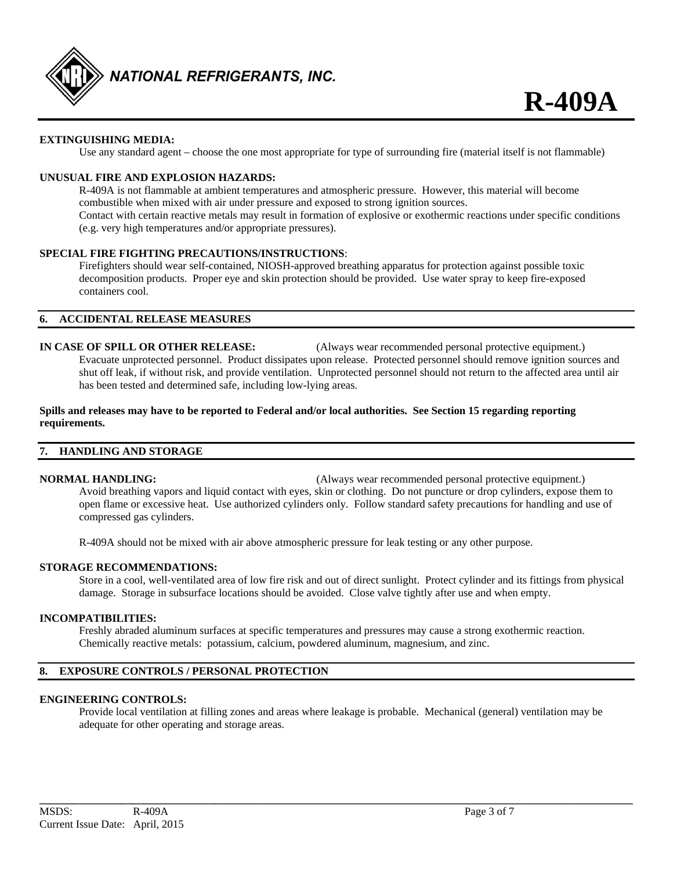

# **EXTINGUISHING MEDIA:**

Use any standard agent – choose the one most appropriate for type of surrounding fire (material itself is not flammable)

# **UNUSUAL FIRE AND EXPLOSION HAZARDS:**

 R-409A is not flammable at ambient temperatures and atmospheric pressure. However, this material will become combustible when mixed with air under pressure and exposed to strong ignition sources. Contact with certain reactive metals may result in formation of explosive or exothermic reactions under specific conditions (e.g. very high temperatures and/or appropriate pressures).

# **SPECIAL FIRE FIGHTING PRECAUTIONS/INSTRUCTIONS**:

 Firefighters should wear self-contained, NIOSH-approved breathing apparatus for protection against possible toxic decomposition products. Proper eye and skin protection should be provided. Use water spray to keep fire-exposed containers cool.

# **6. ACCIDENTAL RELEASE MEASURES**

**IN CASE OF SPILL OR OTHER RELEASE:** (Always wear recommended personal protective equipment.) Evacuate unprotected personnel. Product dissipates upon release. Protected personnel should remove ignition sources and shut off leak, if without risk, and provide ventilation. Unprotected personnel should not return to the affected area until air has been tested and determined safe, including low-lying areas.

### **Spills and releases may have to be reported to Federal and/or local authorities. See Section 15 regarding reporting requirements.**

# **7. HANDLING AND STORAGE**

**NORMAL HANDLING:** (Always wear recommended personal protective equipment.) Avoid breathing vapors and liquid contact with eyes, skin or clothing. Do not puncture or drop cylinders, expose them to open flame or excessive heat. Use authorized cylinders only. Follow standard safety precautions for handling and use of compressed gas cylinders.

R-409A should not be mixed with air above atmospheric pressure for leak testing or any other purpose.

### **STORAGE RECOMMENDATIONS:**

 Store in a cool, well-ventilated area of low fire risk and out of direct sunlight. Protect cylinder and its fittings from physical damage. Storage in subsurface locations should be avoided. Close valve tightly after use and when empty.

# **INCOMPATIBILITIES:**

Freshly abraded aluminum surfaces at specific temperatures and pressures may cause a strong exothermic reaction. Chemically reactive metals: potassium, calcium, powdered aluminum, magnesium, and zinc.

# **8. EXPOSURE CONTROLS / PERSONAL PROTECTION**

#### **ENGINEERING CONTROLS:**

 Provide local ventilation at filling zones and areas where leakage is probable. Mechanical (general) ventilation may be adequate for other operating and storage areas.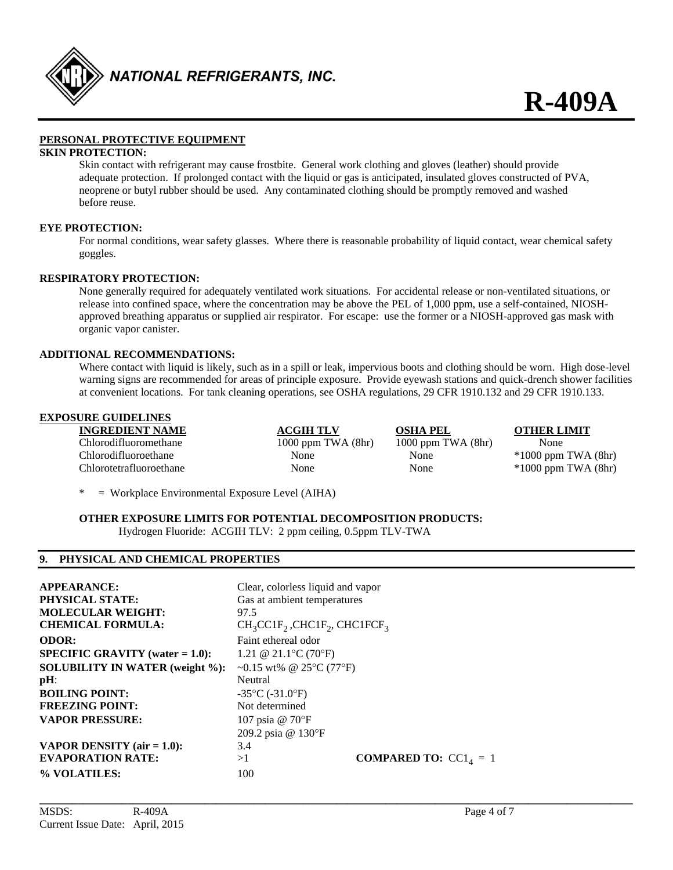

# **PERSONAL PROTECTIVE EQUIPMENT**

# **SKIN PROTECTION:**

 Skin contact with refrigerant may cause frostbite. General work clothing and gloves (leather) should provide adequate protection. If prolonged contact with the liquid or gas is anticipated, insulated gloves constructed of PVA, neoprene or butyl rubber should be used. Any contaminated clothing should be promptly removed and washed before reuse.

### **EYE PROTECTION:**

 For normal conditions, wear safety glasses. Where there is reasonable probability of liquid contact, wear chemical safety goggles.

### **RESPIRATORY PROTECTION:**

 None generally required for adequately ventilated work situations. For accidental release or non-ventilated situations, or release into confined space, where the concentration may be above the PEL of 1,000 ppm, use a self-contained, NIOSH approved breathing apparatus or supplied air respirator. For escape: use the former or a NIOSH-approved gas mask with organic vapor canister.

### **ADDITIONAL RECOMMENDATIONS:**

 Where contact with liquid is likely, such as in a spill or leak, impervious boots and clothing should be worn. High dose-level warning signs are recommended for areas of principle exposure. Provide eyewash stations and quick-drench shower facilities at convenient locations. For tank cleaning operations, see OSHA regulations, 29 CFR 1910.132 and 29 CFR 1910.133.

|--|

| <b>INGREDIENT NAME</b>  | <b>ACGIH TLV</b>       | <b>OSHA PEL</b>        | <b>OTHER LIMIT</b>      |
|-------------------------|------------------------|------------------------|-------------------------|
| Chlorodifluoromethane   | $1000$ ppm TWA $(8hr)$ | $1000$ ppm TWA $(8hr)$ | None                    |
| Chlorodifluoroethane    | None                   | None                   | $*1000$ ppm TWA $(8hr)$ |
| Chlorotetrafluoroethane | None                   | None                   | $*1000$ ppm TWA $(8hr)$ |
|                         |                        |                        |                         |

**\_\_\_\_\_\_\_\_\_\_\_\_\_\_\_\_\_\_\_\_\_\_\_\_\_\_\_\_\_\_\_\_\_\_\_\_\_\_\_\_\_\_\_\_\_\_\_\_\_\_\_\_\_\_\_\_\_\_\_\_\_\_\_\_\_\_\_\_\_\_\_\_\_\_\_\_\_\_\_\_\_\_\_\_\_\_\_\_\_\_\_\_\_\_\_\_\_\_\_\_\_\_\_\_\_\_\_\_** 

 $=$  Workplace Environmental Exposure Level (AIHA)

**OTHER EXPOSURE LIMITS FOR POTENTIAL DECOMPOSITION PRODUCTS:**  Hydrogen Fluoride: ACGIH TLV: 2 ppm ceiling, 0.5ppm TLV-TWA

# **9. PHYSICAL AND CHEMICAL PROPERTIES**

| <b>APPEARANCE:</b>                        | Clear, colorless liquid and vapor                        |
|-------------------------------------------|----------------------------------------------------------|
| <b>PHYSICAL STATE:</b>                    | Gas at ambient temperatures                              |
| <b>MOLECULAR WEIGHT:</b>                  | 97.5                                                     |
| <b>CHEMICAL FORMULA:</b>                  | $CH_3CCIF_2$ , CHC1F <sub>2</sub> , CHC1FCF <sub>3</sub> |
| <b>ODOR:</b>                              | Faint ethereal odor                                      |
| <b>SPECIFIC GRAVITY</b> (water $= 1.0$ ): | 1.21 @ 21.1 °C (70 °F)                                   |
| <b>SOLUBILITY IN WATER (weight %):</b>    | ~0.15 wt% @ 25 $^{\circ}$ C (77 $^{\circ}$ F)            |
| $pH$ :                                    | Neutral                                                  |
| <b>BOILING POINT:</b>                     | $-35^{\circ}$ C ( $-31.0^{\circ}$ F)                     |
| <b>FREEZING POINT:</b>                    | Not determined                                           |
| <b>VAPOR PRESSURE:</b>                    | 107 psia @ 70°F                                          |
|                                           | 209.2 psia @ 130°F                                       |
| VAPOR DENSITY (air $= 1.0$ ):             | 3.4                                                      |
| <b>EVAPORATION RATE:</b>                  | <b>COMPARED TO:</b> $CC1A = 1$<br>>1                     |
| % VOLATILES:                              | 100                                                      |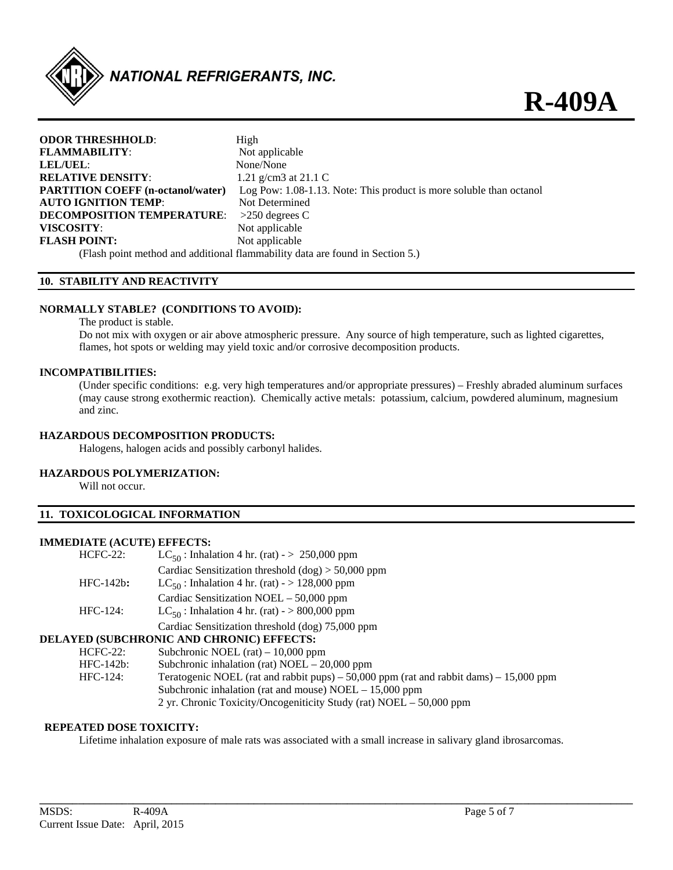

| <b>ODOR THRESHHOLD:</b>                  | High                                                                          |
|------------------------------------------|-------------------------------------------------------------------------------|
| <b>FLAMMABILITY:</b>                     | Not applicable                                                                |
| LEL/UEL:                                 | None/None                                                                     |
| <b>RELATIVE DENSITY:</b>                 | 1.21 g/cm3 at 21.1 C                                                          |
| <b>PARTITION COEFF (n-octanol/water)</b> | Log Pow: 1.08-1.13. Note: This product is more soluble than octanol           |
| <b>AUTO IGNITION TEMP:</b>               | Not Determined                                                                |
| <b>DECOMPOSITION TEMPERATURE:</b>        | $>250$ degrees C                                                              |
| VISCOSITY:                               | Not applicable                                                                |
| <b>FLASH POINT:</b>                      | Not applicable                                                                |
|                                          | (Flash point method and additional flammability data are found in Section 5.) |

### **10. STABILITY AND REACTIVITY**

# **NORMALLY STABLE? (CONDITIONS TO AVOID):**

The product is stable.

 Do not mix with oxygen or air above atmospheric pressure. Any source of high temperature, such as lighted cigarettes, flames, hot spots or welding may yield toxic and/or corrosive decomposition products.

#### **INCOMPATIBILITIES:**

 (Under specific conditions: e.g. very high temperatures and/or appropriate pressures) – Freshly abraded aluminum surfaces (may cause strong exothermic reaction). Chemically active metals: potassium, calcium, powdered aluminum, magnesium and zinc.

#### **HAZARDOUS DECOMPOSITION PRODUCTS:**

Halogens, halogen acids and possibly carbonyl halides.

#### **HAZARDOUS POLYMERIZATION:**

Will not occur.

# **11. TOXICOLOGICAL INFORMATION**

#### **IMMEDIATE (ACUTE) EFFECTS:**

| $HCFC-22$ : | $LC_{50}$ : Inhalation 4 hr. (rat) - > 250,000 ppm   |
|-------------|------------------------------------------------------|
|             | Cardiac Sensitization threshold $(dog) > 50,000$ ppm |
| $HFC-142b:$ | $LC_{50}$ : Inhalation 4 hr. (rat) - > 128,000 ppm   |
|             | Cardiac Sensitization NOEL $-50,000$ ppm             |
| HFC-124:    | $LC_{50}$ : Inhalation 4 hr. (rat) - > 800,000 ppm   |
|             | Cardiac Sensitization threshold (dog) 75,000 ppm     |

# **DELAYED (SUBCHRONIC AND CHRONIC) EFFECTS:**

| $HCFC-22$ :  | Subchronic NOEL $(rat) - 10,000$ ppm                                                     |
|--------------|------------------------------------------------------------------------------------------|
| $HFC-142b$ : | Subchronic inhalation (rat) $NOEL - 20,000$ ppm                                          |
| $HFC-124$ :  | Teratogenic NOEL (rat and rabbit pups) $-50,000$ ppm (rat and rabbit dams) $-15,000$ ppm |
|              | Subchronic inhalation (rat and mouse) $NOEL - 15,000$ ppm                                |
|              | 2 yr. Chronic Toxicity/Oncogeniticity Study (rat) $NOEL - 50,000$ ppm                    |

# **REPEATED DOSE TOXICITY:**

Lifetime inhalation exposure of male rats was associated with a small increase in salivary gland ibrosarcomas.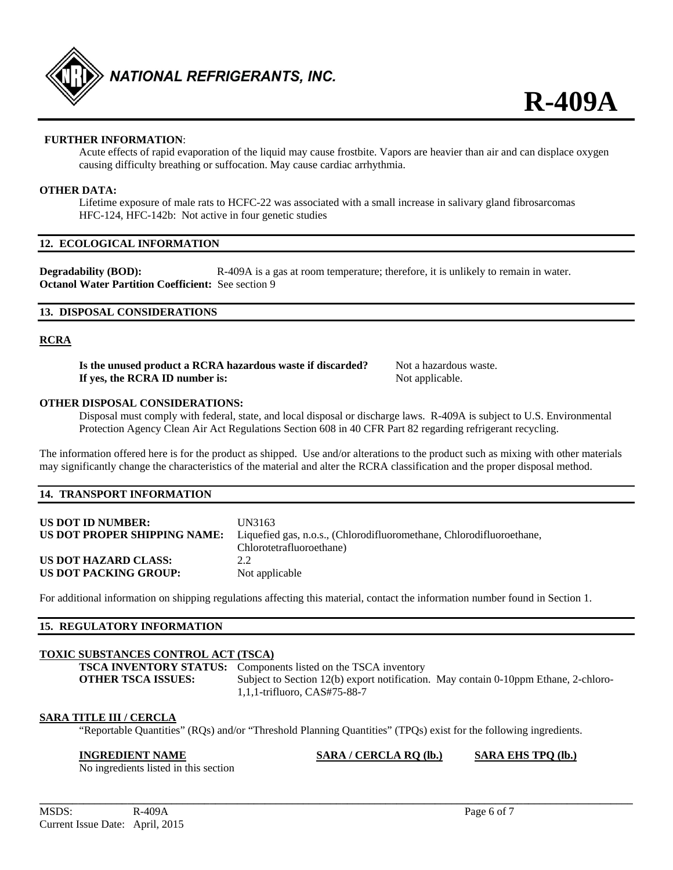

# **FURTHER INFORMATION**:

Acute effects of rapid evaporation of the liquid may cause frostbite. Vapors are heavier than air and can displace oxygen causing difficulty breathing or suffocation. May cause cardiac arrhythmia.

### **OTHER DATA:**

Lifetime exposure of male rats to HCFC-22 was associated with a small increase in salivary gland fibrosarcomas HFC-124, HFC-142b: Not active in four genetic studies

### **12. ECOLOGICAL INFORMATION**

**Degradability (BOD):** R-409A is a gas at room temperature; therefore, it is unlikely to remain in water. **Octanol Water Partition Coefficient:** See section 9

#### **13. DISPOSAL CONSIDERATIONS**

#### **RCRA**

**Is the unused product a RCRA hazardous waste if discarded?** Not a hazardous waste. **If yes, the RCRA ID number is:** Not applicable.

#### **OTHER DISPOSAL CONSIDERATIONS:**

 Disposal must comply with federal, state, and local disposal or discharge laws. R-409A is subject to U.S. Environmental Protection Agency Clean Air Act Regulations Section 608 in 40 CFR Part 82 regarding refrigerant recycling.

The information offered here is for the product as shipped. Use and/or alterations to the product such as mixing with other materials may significantly change the characteristics of the material and alter the RCRA classification and the proper disposal method.

# **14. TRANSPORT INFORMATION**

| US DOT ID NUMBER:            | UN3163                                                               |
|------------------------------|----------------------------------------------------------------------|
| US DOT PROPER SHIPPING NAME: | Liquefied gas, n.o.s., (Chlorodifluoromethane, Chlorodifluoroethane, |
|                              | Chlorotetrafluoroethane)                                             |
| <b>US DOT HAZARD CLASS:</b>  | 2.2                                                                  |
| US DOT PACKING GROUP:        | Not applicable                                                       |

For additional information on shipping regulations affecting this material, contact the information number found in Section 1.

#### **15. REGULATORY INFORMATION**

# **TOXIC SUBSTANCES CONTROL ACT (TSCA)**

**TSCA INVENTORY STATUS:** Components listed on the TSCA inventory

**OTHER TSCA ISSUES:** Subject to Section 12(b) export notification. May contain 0-10ppm Ethane, 2-chloro-1,1,1-trifluoro, CAS#75-88-7

### **SARA TITLE III / CERCLA**

"Reportable Quantities" (RQs) and/or "Threshold Planning Quantities" (TPQs) exist for the following ingredients.

**\_\_\_\_\_\_\_\_\_\_\_\_\_\_\_\_\_\_\_\_\_\_\_\_\_\_\_\_\_\_\_\_\_\_\_\_\_\_\_\_\_\_\_\_\_\_\_\_\_\_\_\_\_\_\_\_\_\_\_\_\_\_\_\_\_\_\_\_\_\_\_\_\_\_\_\_\_\_\_\_\_\_\_\_\_\_\_\_\_\_\_\_\_\_\_\_\_\_\_\_\_\_\_\_\_\_\_\_** 

**INGREDIENT NAME SARA / CERCLA RQ (lb.) SARA EHS TPQ (lb.)**

No ingredients listed in this section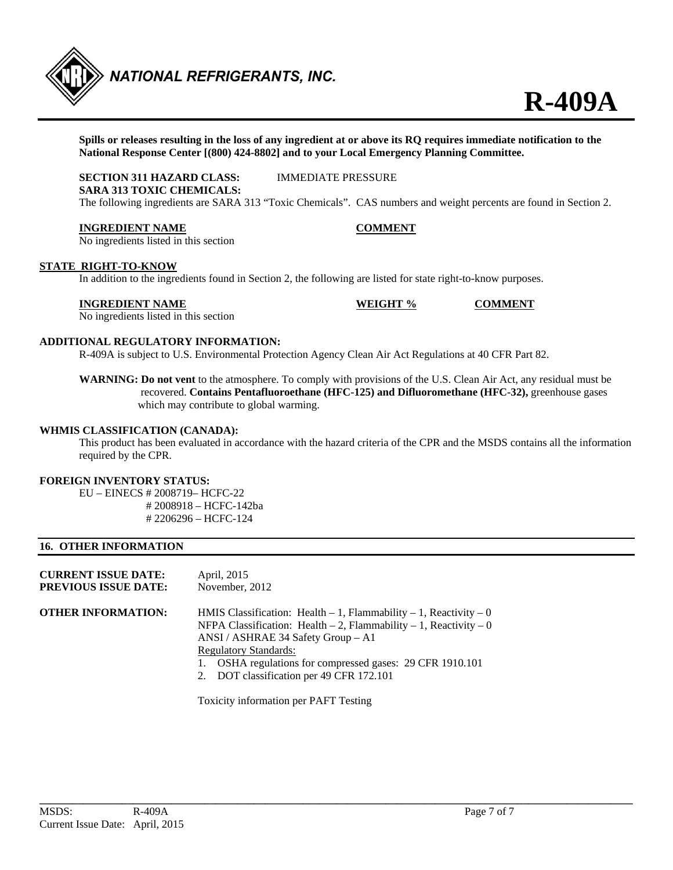



**Spills or releases resulting in the loss of any ingredient at or above its RQ requires immediate notification to the National Response Center [(800) 424-8802] and to your Local Emergency Planning Committee.** 

#### **SECTION 311 HAZARD CLASS:** IMMEDIATE PRESSURE **SARA 313 TOXIC CHEMICALS:**

The following ingredients are SARA 313 "Toxic Chemicals". CAS numbers and weight percents are found in Section 2.

### **INGREDIENT NAME COMMENT**

No ingredients listed in this section

### **STATE RIGHT-TO-KNOW**

In addition to the ingredients found in Section 2, the following are listed for state right-to-know purposes.

#### **INGREDIENT NAME WEIGHT % COMMENT**

No ingredients listed in this section

### **ADDITIONAL REGULATORY INFORMATION:**

R-409A is subject to U.S. Environmental Protection Agency Clean Air Act Regulations at 40 CFR Part 82.

**WARNING: Do not vent** to the atmosphere. To comply with provisions of the U.S. Clean Air Act, any residual must be recovered. **Contains Pentafluoroethane (HFC-125) and Difluoromethane (HFC-32),** greenhouse gases which may contribute to global warming.

# **WHMIS CLASSIFICATION (CANADA):**

 This product has been evaluated in accordance with the hazard criteria of the CPR and the MSDS contains all the information required by the CPR.

# **FOREIGN INVENTORY STATUS:**

EU – EINECS # 2008719– HCFC-22 # 2008918 – HCFC-142ba # 2206296 – HCFC-124

#### **16. OTHER INFORMATION**

| <b>CURRENT ISSUE DATE:</b>  | April, 2015                                                                                                                                                                                                                                                                                                                     |
|-----------------------------|---------------------------------------------------------------------------------------------------------------------------------------------------------------------------------------------------------------------------------------------------------------------------------------------------------------------------------|
| <b>PREVIOUS ISSUE DATE:</b> | November, 2012                                                                                                                                                                                                                                                                                                                  |
| OTHER INFORMATION:          | HMIS Classification: Health $-1$ , Flammability $-1$ , Reactivity $-0$<br>NFPA Classification: Health $-2$ , Flammability $-1$ , Reactivity $-0$<br>ANSI / ASHRAE 34 Safety Group - A1<br><b>Regulatory Standards:</b><br>1. OSHA regulations for compressed gases: 29 CFR 1910.101<br>2. DOT classification per 49 CFR 172.101 |

Toxicity information per PAFT Testing